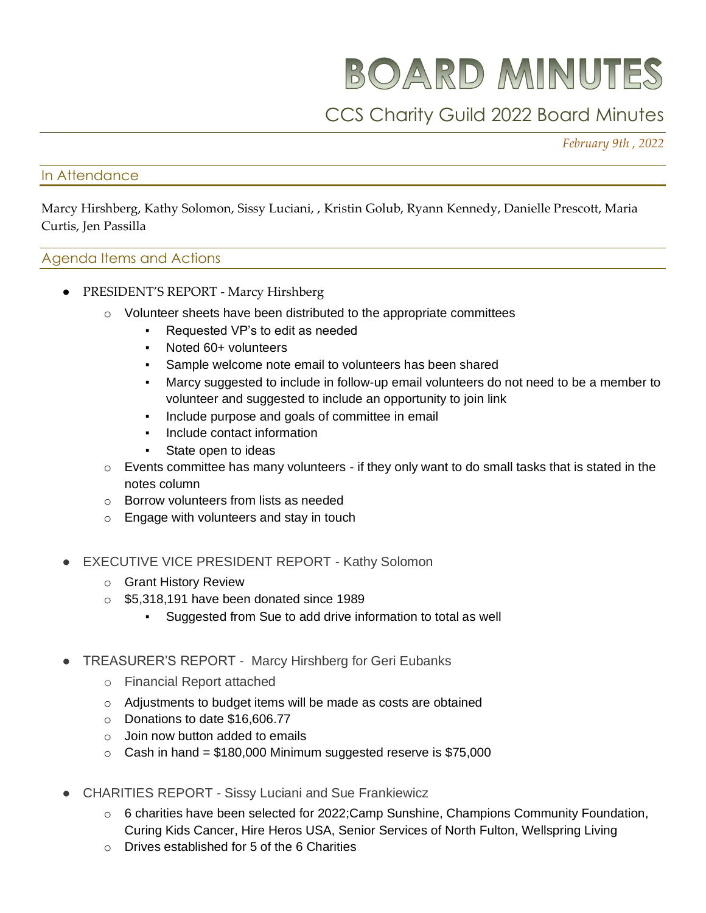BOARD MINUTES

## CCS Charity Guild 2022 Board Minutes

*February 9th , 2022* 

## In Attendance

Marcy Hirshberg, Kathy Solomon, Sissy Luciani, , Kristin Golub, Ryann Kennedy, Danielle Prescott, Maria Curtis, Jen Passilla

## Agenda Items and Actions

- PRESIDENT'S REPORT Marcy Hirshberg
	- $\circ$  Volunteer sheets have been distributed to the appropriate committees
		- Requested VP's to edit as needed
		- Noted 60+ volunteers
		- Sample welcome note email to volunteers has been shared
		- Marcy suggested to include in follow-up email volunteers do not need to be a member to volunteer and suggested to include an opportunity to join link
		- Include purpose and goals of committee in email
		- Include contact information
		- State open to ideas
	- $\circ$  Events committee has many volunteers if they only want to do small tasks that is stated in the notes column
	- o Borrow volunteers from lists as needed
	- o Engage with volunteers and stay in touch
- **EXECUTIVE VICE PRESIDENT REPORT Kathy Solomon** 
	- o Grant History Review
	- o \$5,318,191 have been donated since 1989
		- Suggested from Sue to add drive information to total as well
- TREASURER'S REPORT Marcy Hirshberg for Geri Eubanks
	- o Financial Report attached
	- o Adjustments to budget items will be made as costs are obtained
	- o Donations to date \$16,606.77
	- $\circ$  Join now button added to emails
	- $\circ$  Cash in hand = \$180,000 Minimum suggested reserve is \$75,000
- **CHARITIES REPORT Sissy Luciani and Sue Frankiewicz** 
	- $\circ$  6 charities have been selected for 2022; Camp Sunshine, Champions Community Foundation, Curing Kids Cancer, Hire Heros USA, Senior Services of North Fulton, Wellspring Living
	- o Drives established for 5 of the 6 Charities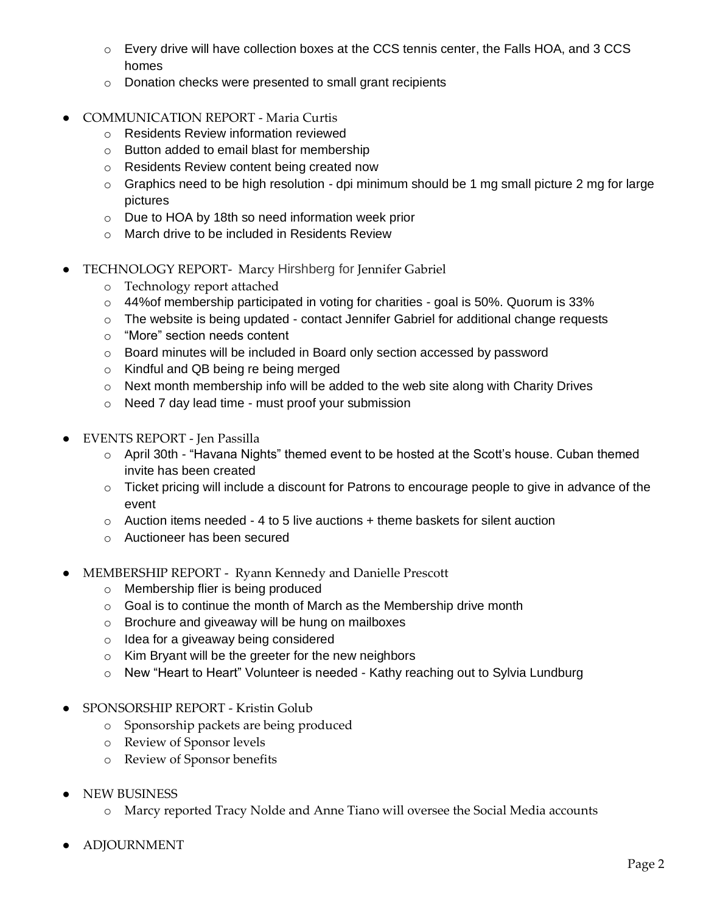- o Every drive will have collection boxes at the CCS tennis center, the Falls HOA, and 3 CCS homes
- o Donation checks were presented to small grant recipients
- COMMUNICATION REPORT Maria Curtis
	- o Residents Review information reviewed
	- o Button added to email blast for membership
	- o Residents Review content being created now
	- $\circ$  Graphics need to be high resolution dpi minimum should be 1 mg small picture 2 mg for large pictures
	- o Due to HOA by 18th so need information week prior
	- o March drive to be included in Residents Review
- TECHNOLOGY REPORT- Marcy Hirshberg for Jennifer Gabriel
	- o Technology report attached
	- o 44%of membership participated in voting for charities goal is 50%. Quorum is 33%
	- o The website is being updated contact Jennifer Gabriel for additional change requests
	- o "More" section needs content
	- o Board minutes will be included in Board only section accessed by password
	- o Kindful and QB being re being merged
	- o Next month membership info will be added to the web site along with Charity Drives
	- o Need 7 day lead time must proof your submission
- EVENTS REPORT Jen Passilla
	- o April 30th "Havana Nights" themed event to be hosted at the Scott's house. Cuban themed invite has been created
	- o Ticket pricing will include a discount for Patrons to encourage people to give in advance of the event
	- $\circ$  Auction items needed 4 to 5 live auctions + theme baskets for silent auction
	- o Auctioneer has been secured
- MEMBERSHIP REPORT Ryann Kennedy and Danielle Prescott
	- o Membership flier is being produced
	- $\circ$  Goal is to continue the month of March as the Membership drive month
	- o Brochure and giveaway will be hung on mailboxes
	- o Idea for a giveaway being considered
	- o Kim Bryant will be the greeter for the new neighbors
	- o New "Heart to Heart" Volunteer is needed Kathy reaching out to Sylvia Lundburg
- SPONSORSHIP REPORT Kristin Golub
	- o Sponsorship packets are being produced
	- o Review of Sponsor levels
	- o Review of Sponsor benefits
- **NEW BUSINESS** 
	- o Marcy reported Tracy Nolde and Anne Tiano will oversee the Social Media accounts
- **ADJOURNMENT**